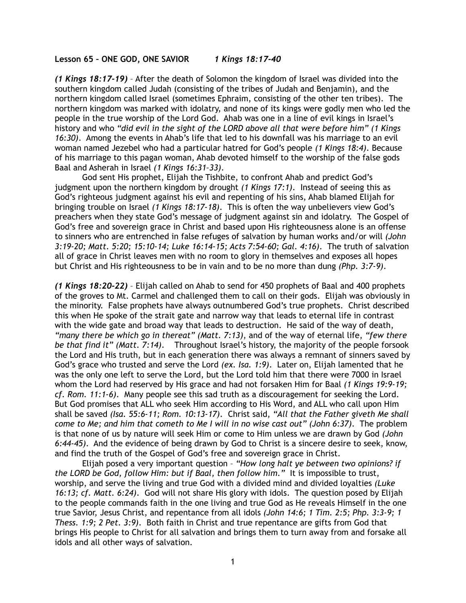## **Lesson 65 – ONE GOD, ONE SAVIOR** *1 Kings 18:17-40*

*(1 Kings 18:17-19)* – After the death of Solomon the kingdom of Israel was divided into the southern kingdom called Judah (consisting of the tribes of Judah and Benjamin), and the northern kingdom called Israel (sometimes Ephraim, consisting of the other ten tribes). The northern kingdom was marked with idolatry, and none of its kings were godly men who led the people in the true worship of the Lord God. Ahab was one in a line of evil kings in Israel's history and who *"did evil in the sight of the LORD above all that were before him" (1 Kings 16:30)*. Among the events in Ahab's life that led to his downfall was his marriage to an evil woman named Jezebel who had a particular hatred for God's people *(1 Kings 18:4)*. Because of his marriage to this pagan woman, Ahab devoted himself to the worship of the false gods Baal and Asherah in Israel *(1 Kings 16:31–33)*.

God sent His prophet, Elijah the Tishbite, to confront Ahab and predict God's judgment upon the northern kingdom by drought *(1 Kings 17:1)*. Instead of seeing this as God's righteous judgment against his evil and repenting of his sins, Ahab blamed Elijah for bringing trouble on Israel *(1 Kings 18:17-18)*. This is often the way unbelievers view God's preachers when they state God's message of judgment against sin and idolatry. The Gospel of God's free and sovereign grace in Christ and based upon His righteousness alone is an offense to sinners who are entrenched in false refuges of salvation by human works and/or will *(John 3:19-20; Matt. 5:20; 15:10-14; Luke 16:14-15; Acts 7:54-60; Gal. 4:16)*. The truth of salvation all of grace in Christ leaves men with no room to glory in themselves and exposes all hopes but Christ and His righteousness to be in vain and to be no more than dung *(Php. 3:7-9)*.

*(1 Kings 18:20-22)* – Elijah called on Ahab to send for 450 prophets of Baal and 400 prophets of the groves to Mt. Carmel and challenged them to call on their gods. Elijah was obviously in the minority. False prophets have always outnumbered God's true prophets. Christ described this when He spoke of the strait gate and narrow way that leads to eternal life in contrast with the wide gate and broad way that leads to destruction. He said of the way of death, *"many there be which go in thereat" (Matt. 7:13)*, and of the way of eternal life, *"few there be that find it" (Matt. 7:14)*. Throughout Israel's history, the majority of the people forsook the Lord and His truth, but in each generation there was always a remnant of sinners saved by God's grace who trusted and serve the Lord *(ex. Isa. 1:9)*. Later on, Elijah lamented that he was the only one left to serve the Lord, but the Lord told him that there were 7000 in Israel whom the Lord had reserved by His grace and had not forsaken Him for Baal *(1 Kings 19:9-19; cf. Rom. 11:1-6)*. Many people see this sad truth as a discouragement for seeking the Lord. But God promises that ALL who seek Him according to His Word, and ALL who call upon Him shall be saved *(Isa. 55:6-11; Rom. 10:13-17)*. Christ said, *"All that the Father giveth Me shall come to Me; and him that cometh to Me I will in no wise cast out" (John 6:37)*. The problem is that none of us by nature will seek Him or come to Him unless we are drawn by God *(John 6:44-45)*. And the evidence of being drawn by God to Christ is a sincere desire to seek, know, and find the truth of the Gospel of God's free and sovereign grace in Christ.

Elijah posed a very important question – *"How long halt ye between two opinions? if the LORD be God, follow Him: but if Baal, then follow him."* It is impossible to trust, worship, and serve the living and true God with a divided mind and divided loyalties *(Luke 16:13; cf. Matt. 6:24)*. God will not share His glory with idols. The question posed by Elijah to the people commands faith in the one living and true God as He reveals Himself in the one true Savior, Jesus Christ, and repentance from all idols *(John 14:6; 1 Tim. 2:5; Php. 3:3-9; 1 Thess. 1:9; 2 Pet. 3:9)*. Both faith in Christ and true repentance are gifts from God that brings His people to Christ for all salvation and brings them to turn away from and forsake all idols and all other ways of salvation.